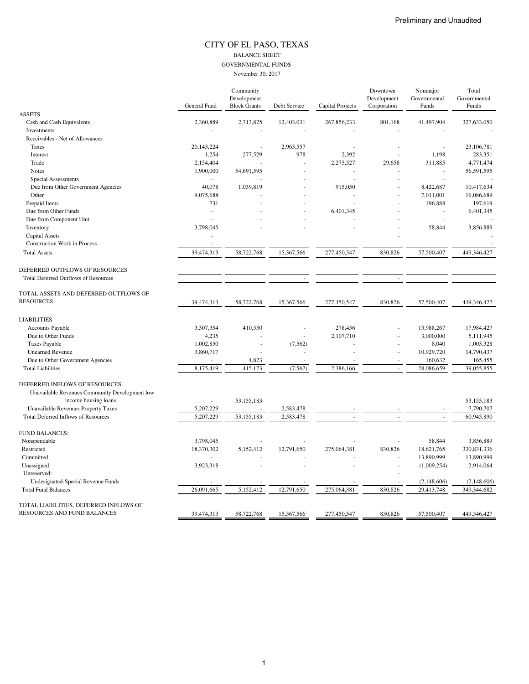### CITY OF EL PASO, TEXAS BALANCE SHEET GOVERNMENTAL FUNDS November 30, 2017

|                                                                               |              | Community<br>Development |              |                  | Downtown<br>Development | Nonmajor<br>Governmental | Total<br>Governmental |
|-------------------------------------------------------------------------------|--------------|--------------------------|--------------|------------------|-------------------------|--------------------------|-----------------------|
|                                                                               | General Fund | <b>Block Grants</b>      | Debt Service | Capital Projects | Corporation             | Funds                    | Funds                 |
| <b>ASSETS</b>                                                                 |              |                          |              |                  |                         |                          |                       |
| Cash and Cash Equivalents                                                     | 2,360,889    | 2,713,825                | 12,403,031   | 267,856,233      | 801,168                 | 41,497,904               | 327,633,050           |
| Investments                                                                   |              |                          |              |                  |                         |                          |                       |
| Receivables - Net of Allowances                                               |              |                          |              |                  |                         |                          |                       |
| Taxes                                                                         | 20, 143, 224 |                          | 2,963,557    |                  |                         |                          | 23,106,781            |
| Interest                                                                      | 1,254        | 277,529                  | 978          | 2,392            |                         | 1,198                    | 283,351               |
| Trade                                                                         | 2,154,404    |                          |              | 2,275,527        | 29,658                  | 311,885                  | 4,771,474             |
| <b>Notes</b>                                                                  | 1,900,000    | 54,691,595               |              |                  |                         |                          | 56,591,595            |
| Special Assessments                                                           |              |                          |              |                  |                         | $\overline{\phantom{a}}$ |                       |
| Due from Other Government Agencies                                            | 40,078       | 1,039,819                |              | 915,050          |                         | 8,422,687                | 10,417,634            |
| Other                                                                         | 9,075,688    |                          |              |                  |                         | 7,011,001                | 16,086,689            |
| Prepaid Items                                                                 | 731          |                          |              |                  |                         | 196,888                  | 197,619               |
| Due from Other Funds                                                          | ä,           |                          |              | 6,401,345        |                         |                          | 6,401,345             |
| Due from Component Unit                                                       |              |                          |              |                  |                         |                          |                       |
| Inventory                                                                     | 3,798,045    |                          |              |                  |                         | 58,844                   | 3,856,889             |
| Capital Assets                                                                |              |                          |              |                  |                         |                          |                       |
| <b>Construction Work in Process</b>                                           |              |                          |              |                  |                         |                          |                       |
| <b>Total Assets</b>                                                           | 39,474,313   | 58,722,768               | 15,367,566   | 277,450,547      | 830,826                 | 57,500,407               | 449,346,427           |
| DEFERRED OUTFLOWS OF RESOURCES<br><b>Total Deferred Outflows of Resources</b> |              |                          |              |                  |                         |                          |                       |
| TOTAL ASSETS AND DEFERRED OUTFLOWS OF                                         |              |                          |              |                  |                         |                          |                       |
| <b>RESOURCES</b>                                                              | 39,474,313   | 58,722,768               | 15,367,566   | 277,450,547      | 830,826                 | 57,500,407               | 449,346,427           |
| <b>LIABILITIES</b>                                                            |              |                          |              |                  |                         |                          |                       |
| Accounts Payable                                                              | 3,307,354    | 410,350                  |              | 278,456          |                         | 13,988,267               | 17,984,427            |
| Due to Other Funds                                                            | 4,235        |                          |              | 2,107,710        |                         | 3,000,000                | 5,111,945             |
| <b>Taxes Payable</b>                                                          | 1,002,850    |                          | (7, 562)     |                  |                         | 8,040                    | 1,003,328             |
| <b>Unearned Revenue</b>                                                       | 3,860,717    |                          |              |                  |                         | 10,929,720               | 14,790,437            |
| Due to Other Government Agencies                                              |              | 4,823                    |              |                  |                         | 160,632                  | 165,455               |
| <b>Total Liabilities</b>                                                      | 8,175,419    | 415,173                  | (7, 562)     | 2,386,166        |                         | 28,086,659               | 39,055,855            |
| DEFERRED INFLOWS OF RESOURCES                                                 |              |                          |              |                  |                         |                          |                       |
|                                                                               |              |                          |              |                  |                         |                          |                       |
| Unavailable Revenues Community Development low                                |              |                          |              |                  |                         |                          |                       |
| income housing loans                                                          |              | 53,155,183               |              |                  |                         |                          | 53,155,183            |
| Unavailable Revenues Property Taxes                                           | 5,207,229    |                          | 2,583,478    |                  |                         |                          | 7,790,707             |
| <b>Total Deferred Inflows of Resources</b>                                    | 5,207,229    | 53,155,183               | 2,583,478    |                  |                         |                          | 60,945,890            |
| <b>FUND BALANCES:</b>                                                         |              |                          |              |                  |                         |                          |                       |
| Nonspendable                                                                  | 3,798,045    |                          |              |                  |                         | 58,844                   | 3,856,889             |
| Restricted                                                                    | 18,370,302   | 5,152,412                | 12,791,650   | 275,064,381      | 830,826                 | 18,621,765               | 330,831,336           |
| Committed                                                                     |              |                          |              |                  |                         | 13,890,999               | 13,890,999            |
| Unassigned                                                                    | 3,923,318    |                          |              |                  |                         | (1,009,254)              | 2,914,064             |
| Unreserved:                                                                   |              |                          |              |                  |                         |                          |                       |
| Undesignated-Special Revenue Funds                                            |              |                          |              |                  |                         | (2,148,606)              | (2,148,606)           |
| <b>Total Fund Balances</b>                                                    | 26,091,665   | 5,152,412                | 12,791,650   | 275,064,381      | 830,826                 | 29,413,748               | 349,344,682           |
| TOTAL LIABILITIES, DEFERRED INFLOWS OF                                        |              |                          |              |                  |                         |                          |                       |
| RESOURCES AND FUND BALANCES                                                   | 39,474,313   | 58,722,768               | 15,367,566   | 277,450,547      | 830,826                 | 57,500,407               | 449,346,427           |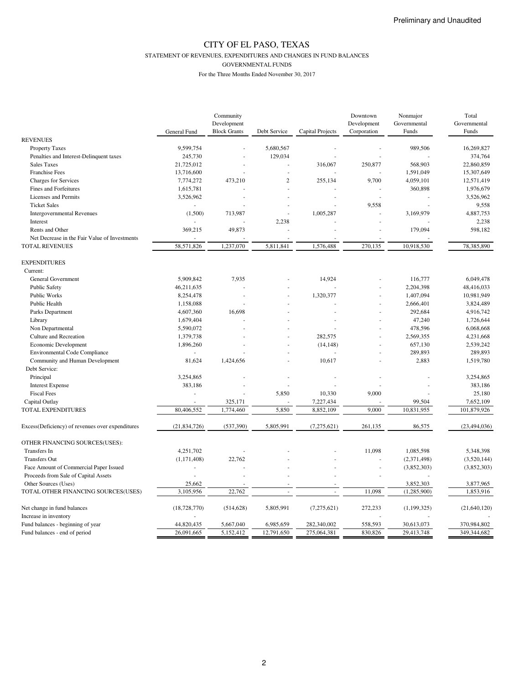STATEMENT OF REVENUES, EXPENDITURES AND CHANGES IN FUND BALANCES

GOVERNMENTAL FUNDS

|                                                  |                | Community           |                |                  | Downtown    | Nonmajor      | Total          |
|--------------------------------------------------|----------------|---------------------|----------------|------------------|-------------|---------------|----------------|
|                                                  |                | Development         |                |                  | Development | Governmental  | Governmental   |
|                                                  | General Fund   | <b>Block Grants</b> | Debt Service   | Capital Projects | Corporation | Funds         | Funds          |
| <b>REVENUES</b>                                  |                |                     |                |                  |             |               |                |
| <b>Property Taxes</b>                            | 9,599,754      |                     | 5,680,567      |                  |             | 989,506       | 16,269,827     |
| Penalties and Interest-Delinquent taxes          | 245,730        |                     | 129,034        |                  |             |               | 374,764        |
| Sales Taxes                                      | 21,725,012     |                     |                | 316,067          | 250,877     | 568,903       | 22,860,859     |
| <b>Franchise Fees</b>                            | 13,716,600     |                     |                |                  |             | 1,591,049     | 15,307,649     |
| <b>Charges for Services</b>                      | 7,774,272      | 473,210             | $\overline{2}$ | 255,134          | 9,700       | 4,059,101     | 12,571,419     |
| Fines and Forfeitures                            | 1,615,781      |                     |                |                  |             | 360,898       | 1,976,679      |
| Licenses and Permits                             | 3,526,962      |                     |                |                  |             |               | 3,526,962      |
| <b>Ticket Sales</b>                              |                |                     |                |                  | 9,558       |               | 9,558          |
| <b>Intergovernmental Revenues</b>                | (1,500)        | 713,987             |                | 1,005,287        |             | 3,169,979     | 4,887,753      |
| Interest                                         |                |                     | 2,238          |                  |             |               | 2,238          |
| Rents and Other                                  | 369,215        | 49,873              |                |                  |             | 179,094       | 598,182        |
| Net Decrease in the Fair Value of Investments    |                |                     |                |                  |             |               |                |
| <b>TOTAL REVENUES</b>                            | 58,571,826     | 1,237,070           | 5,811,841      | 1,576,488        | 270,135     | 10,918,530    | 78,385,890     |
| <b>EXPENDITURES</b>                              |                |                     |                |                  |             |               |                |
| Current:                                         |                |                     |                |                  |             |               |                |
| General Government                               | 5,909,842      | 7,935               |                | 14,924           |             | 116,777       | 6.049.478      |
| Public Safety                                    | 46,211,635     |                     |                |                  |             | 2,204,398     | 48,416,033     |
| Public Works                                     | 8,254,478      |                     |                | 1,320,377        |             | 1,407,094     | 10,981,949     |
| Public Health                                    | 1,158,088      |                     |                |                  |             | 2,666,401     | 3,824,489      |
| Parks Department                                 | 4,607,360      | 16,698              |                |                  |             | 292,684       | 4,916,742      |
| Library                                          | 1,679,404      |                     |                |                  |             | 47,240        | 1,726,644      |
| Non Departmental                                 | 5,590,072      |                     |                |                  |             | 478,596       | 6,068,668      |
| Culture and Recreation                           | 1,379,738      |                     |                | 282,575          |             | 2,569,355     | 4,231,668      |
| Economic Development                             | 1,896,260      |                     |                | (14, 148)        |             | 657,130       | 2,539,242      |
|                                                  | ä,             |                     |                |                  |             | 289,893       | 289,893        |
| <b>Environmental Code Compliance</b>             |                |                     |                |                  |             |               |                |
| Community and Human Development                  | 81,624         | 1,424,656           |                | 10,617           |             | 2,883         | 1,519,780      |
| Debt Service:                                    |                |                     |                |                  |             |               |                |
| Principal                                        | 3,254,865      |                     |                |                  |             |               | 3,254,865      |
| <b>Interest Expense</b>                          | 383,186        |                     |                |                  |             |               | 383,186        |
| <b>Fiscal Fees</b>                               |                |                     | 5,850          | 10,330           | 9,000       |               | 25,180         |
| Capital Outlay                                   |                | 325,171             |                | 7,227,434        |             | 99,504        | 7,652,109      |
| TOTAL EXPENDITURES                               | 80,406,552     | 1,774,460           | 5,850          | 8,852,109        | 9,000       | 10,831,955    | 101,879,926    |
| Excess(Deficiency) of revenues over expenditures | (21, 834, 726) | (537,390)           | 5,805,991      | (7, 275, 621)    | 261,135     | 86,575        | (23, 494, 036) |
| OTHER FINANCING SOURCES(USES):                   |                |                     |                |                  |             |               |                |
| Transfers In                                     | 4,251,702      |                     |                |                  | 11,098      | 1,085,598     | 5,348,398      |
| <b>Transfers Out</b>                             | (1, 171, 408)  | 22,762              |                |                  |             | (2,371,498)   | (3,520,144)    |
| Face Amount of Commercial Paper Issued           |                |                     |                |                  |             | (3,852,303)   | (3,852,303)    |
| Proceeds from Sale of Capital Assets             |                |                     |                |                  |             |               |                |
| Other Sources (Uses)                             | 25,662         |                     |                |                  |             | 3,852,303     | 3,877,965      |
| TOTAL OTHER FINANCING SOURCES(USES)              | 3,105,956      | 22,762              |                |                  | 11,098      | (1,285,900)   | 1,853,916      |
|                                                  |                |                     |                |                  |             |               |                |
| Net change in fund balances                      | (18, 728, 770) | (514, 628)          | 5,805,991      | (7,275,621)      | 272,233     | (1, 199, 325) | (21, 640, 120) |
| Increase in inventory                            |                |                     |                |                  |             |               |                |
| Fund balances - beginning of year                | 44,820,435     | 5,667,040           | 6,985,659      | 282,340,002      | 558,593     | 30,613,073    | 370,984,802    |
| Fund balances - end of period                    | 26,091,665     | 5,152,412           | 12,791,650     | 275,064,381      | 830,826     | 29,413,748    | 349,344,682    |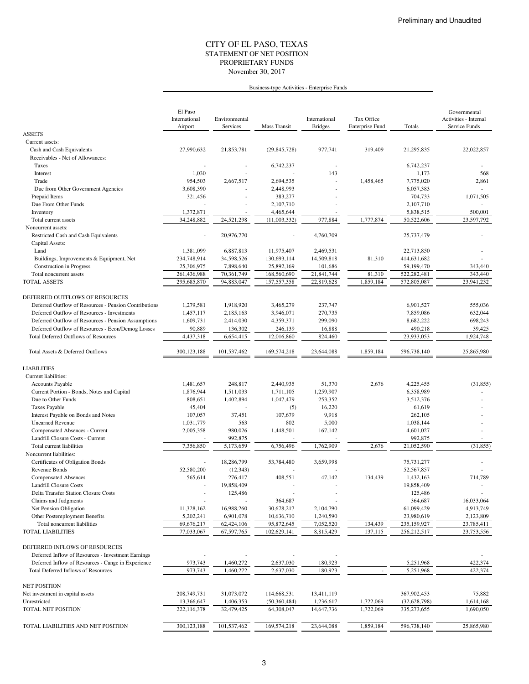### STATEMENT OF NET POSITION CITY OF EL PASO, TEXAS November 30, 2017 PROPRIETARY FUNDS

## Business-type Activities - Enterprise Funds

|                                                                                           | El Paso<br>International<br>Airport | Environmental<br>Services | Mass Transit              | International<br><b>Bridges</b> | Tax Office<br><b>Enterprise Fund</b> | Totals                    | Governmental<br>Activities - Internal<br>Service Funds |
|-------------------------------------------------------------------------------------------|-------------------------------------|---------------------------|---------------------------|---------------------------------|--------------------------------------|---------------------------|--------------------------------------------------------|
| <b>ASSETS</b>                                                                             |                                     |                           |                           |                                 |                                      |                           |                                                        |
| Current assets:                                                                           |                                     |                           |                           |                                 |                                      |                           |                                                        |
| Cash and Cash Equivalents                                                                 | 27,990,632                          | 21,853,781                | (29, 845, 728)            | 977,741                         | 319,409                              | 21,295,835                | 22,022,857                                             |
| Receivables - Net of Allowances:                                                          |                                     |                           |                           |                                 |                                      |                           |                                                        |
| Taxes                                                                                     |                                     |                           | 6,742,237                 |                                 |                                      | 6,742,237                 |                                                        |
| Interest                                                                                  | 1,030                               |                           |                           | 143                             |                                      | 1,173                     | 568                                                    |
| Trade                                                                                     | 954,503                             | 2,667,517                 | 2,694,535                 |                                 | 1,458,465                            | 7,775,020                 | 2,861                                                  |
| Due from Other Government Agencies                                                        | 3,608,390                           |                           | 2,448,993                 |                                 |                                      | 6,057,383                 |                                                        |
| Prepaid Items                                                                             | 321,456                             |                           | 383,277                   |                                 |                                      | 704,733                   | 1,071,505                                              |
| Due From Other Funds                                                                      |                                     |                           | 2,107,710                 |                                 |                                      | 2,107,710                 |                                                        |
| Inventory                                                                                 | 1,372,871                           | ٠                         | 4,465,644                 |                                 |                                      | 5,838,515                 | 500,001                                                |
| Total current assets                                                                      | 34,248,882                          | 24,521,298                | (11,003,332)              | 977,884                         | 1,777,874                            | 50,522,606                | 23,597,792                                             |
| Noncurrent assets:                                                                        |                                     |                           |                           |                                 |                                      |                           |                                                        |
| Restricted Cash and Cash Equivalents                                                      |                                     | 20,976,770                |                           | 4,760,709                       |                                      | 25,737,479                |                                                        |
| Capital Assets:<br>Land                                                                   |                                     |                           |                           |                                 |                                      |                           |                                                        |
|                                                                                           | 1,381,099<br>234,748,914            | 6,887,813<br>34,598,526   | 11,975,407<br>130,693,114 | 2,469,531<br>14,509,818         | 81,310                               | 22,713,850<br>414,631,682 |                                                        |
| Buildings, Improvements & Equipment, Net<br><b>Construction</b> in Progress               | 25,306,975                          | 7,898,640                 | 25,892,169                | 101,686                         |                                      | 59,199,470                | 343,440                                                |
| Total noncurrent assets                                                                   | 261,436,988                         | 70,361,749                | 168,560,690               | 21,841,744                      | 81,310                               | 522,282,481               | 343,440                                                |
| <b>TOTAL ASSETS</b>                                                                       | 295,685,870                         | 94,883,047                | 157,557,358               | 22,819,628                      | 1,859,184                            | 572,805,087               | 23,941,232                                             |
|                                                                                           |                                     |                           |                           |                                 |                                      |                           |                                                        |
| DEFERRED OUTFLOWS OF RESOURCES                                                            |                                     |                           |                           |                                 |                                      |                           |                                                        |
| Deferred Outflow of Resources - Pension Contributions                                     | 1,279,581                           | 1,918,920                 | 3,465,279                 | 237,747                         |                                      | 6,901,527                 | 555,036                                                |
| Deferred Outflow of Resources - Investments                                               | 1,457,117                           | 2,185,163                 | 3,946,071                 | 270,735                         |                                      | 7,859,086                 | 632,044                                                |
| Deferred Outflow of Resources - Pension Assumptions                                       | 1,609,731                           | 2,414,030                 | 4,359,371                 | 299,090                         |                                      | 8,682,222                 | 698,243                                                |
| Deferred Outflow of Resources - Econ/Demog Losses                                         | 90,889                              | 136,302                   | 246,139                   | 16,888                          |                                      | 490,218                   | 39,425                                                 |
| <b>Total Deferred Outflows of Resources</b>                                               | 4,437,318                           | 6,654,415                 | 12,016,860                | 824,460                         |                                      | 23.933.053                | 1,924,748                                              |
|                                                                                           |                                     |                           |                           |                                 |                                      |                           |                                                        |
| Total Assets & Deferred Outflows                                                          | 300,123,188                         | 101,537,462               | 169,574,218               | 23,644,088                      | 1,859,184                            | 596,738,140               | 25,865,980                                             |
| <b>LIABILITIES</b>                                                                        |                                     |                           |                           |                                 |                                      |                           |                                                        |
| Current liabilities:                                                                      |                                     |                           |                           |                                 |                                      |                           |                                                        |
| <b>Accounts Payable</b>                                                                   | 1,481,657                           | 248,817                   | 2,440,935                 | 51,370                          | 2,676                                | 4,225,455                 | (31, 855)                                              |
| Current Portion - Bonds, Notes and Capital                                                | 1,876,944                           | 1,511,033                 | 1,711,105                 | 1,259,907                       |                                      | 6,358,989                 |                                                        |
| Due to Other Funds                                                                        | 808,651                             | 1,402,894                 | 1,047,479                 | 253,352                         |                                      | 3,512,376                 |                                                        |
| <b>Taxes Payable</b>                                                                      | 45,404                              |                           | (5)                       | 16,220                          |                                      | 61,619                    |                                                        |
| Interest Payable on Bonds and Notes                                                       | 107,057                             | 37,451                    | 107,679                   | 9,918                           |                                      | 262,105                   |                                                        |
| <b>Unearned Revenue</b>                                                                   | 1,031,779                           | 563                       | 802                       | 5,000                           |                                      | 1,038,144                 |                                                        |
| Compensated Absences - Current                                                            | 2,005,358                           | 980,026                   | 1,448,501                 | 167,142                         |                                      | 4,601,027                 |                                                        |
| Landfill Closure Costs - Current                                                          |                                     | 992,875                   |                           |                                 |                                      | 992,875                   |                                                        |
| Total current liabilities                                                                 | 7,356,850                           | 5,173,659                 | 6,756,496                 | 1,762,909                       | 2,676                                | 21,052,590                | (31, 855)                                              |
| Noncurrent liabilities:                                                                   |                                     |                           |                           |                                 |                                      |                           |                                                        |
| Certificates of Obligation Bonds<br>Revenue Bonds                                         | 52,580,200                          | 18,286,799                | 53,784,480                | 3,659,998                       |                                      | 75,731,277<br>52,567,857  |                                                        |
| <b>Compensated Absences</b>                                                               | 565,614                             | (12, 343)<br>276,417      | 408,551                   | 47,142                          | 134,439                              | 1,432,163                 | 714,789                                                |
| <b>Landfill Closure Costs</b>                                                             |                                     | 19,858,409                |                           |                                 |                                      | 19,858,409                |                                                        |
| <b>Delta Transfer Station Closure Costs</b>                                               |                                     | 125,486                   |                           |                                 |                                      | 125,486                   |                                                        |
| Claims and Judgments                                                                      |                                     |                           | 364,687                   |                                 |                                      | 364,687                   | 16,033,064                                             |
| Net Pension Obligation                                                                    | 11,328,162                          | 16,988,260                | 30,678,217                | 2,104,790                       |                                      | 61,099,429                | 4,913,749                                              |
| Other Postemployment Benefits                                                             | 5,202,241                           | 6,901,078                 | 10,636,710                | 1,240,590                       |                                      | 23,980,619                | 2,123,809                                              |
| Total noncurrent liabilities                                                              | 69,676,217                          | 62,424,106                | 95,872,645                | 7,052,520                       | 134,439                              | 235,159,927               | 23,785,411                                             |
| <b>TOTAL LIABILITIES</b>                                                                  | 77,033,067                          | 67,597,765                | 102,629,141               | 8,815,429                       | 137,115                              | 256, 212, 517             | 23,753,556                                             |
|                                                                                           |                                     |                           |                           |                                 |                                      |                           |                                                        |
| DEFERRED INFLOWS OF RESOURCES                                                             |                                     |                           |                           |                                 |                                      |                           |                                                        |
| Deferred Inflow of Resources - Investment Earnings                                        |                                     |                           | 2,637,030                 |                                 |                                      | 5,251,968                 |                                                        |
| Deferred Inflow of Resources - Cange in Experience<br>Total Deferred Inflows of Resources | 973,743<br>973,743                  | 1,460,272<br>1,460,272    | 2,637,030                 | 180,923<br>180,923              |                                      | 5,251,968                 | 422,374<br>422.374                                     |
|                                                                                           |                                     |                           |                           |                                 |                                      |                           |                                                        |
| <b>NET POSITION</b>                                                                       |                                     |                           |                           |                                 |                                      |                           |                                                        |
| Net investment in capital assets                                                          | 208,749,731                         | 31,073,072                | 114,668,531               | 13,411,119                      |                                      | 367,902,453               | 75,882                                                 |
| Unrestricted                                                                              | 13,366,647                          | 1,406,353                 | (50, 360, 484)            | 1,236,617                       | 1,722,069                            | (32, 628, 798)            | 1,614,168                                              |
| TOTAL NET POSITION                                                                        | 222,116,378                         | 32,479,425                | 64,308,047                | 14,647,736                      | 1,722,069                            | 335,273,655               | 1,690,050                                              |
|                                                                                           |                                     |                           |                           |                                 |                                      |                           |                                                        |
| TOTAL LIABILITIES AND NET POSITION                                                        | 300,123,188                         | 101,537,462               | 169,574,218               | 23,644,088                      | 1,859,184                            | 596,738,140               | 25,865,980                                             |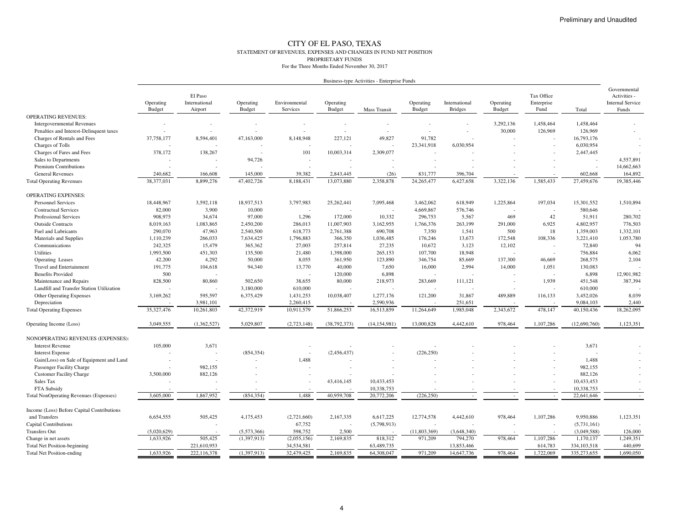#### CITY OF EL PASO, TEXAS STATEMENT OF REVENUES, EXPENSES AND CHANGES IN FUND NET POSITIONPROPRIETARY FUNDSFor the Three Months Ended November 30, 2017

|                                               | Business-type Activities - Enterprise Funds |                                     |                     |                           |                            |                          |                     |                                 |                            |                                  |               |                                                                  |
|-----------------------------------------------|---------------------------------------------|-------------------------------------|---------------------|---------------------------|----------------------------|--------------------------|---------------------|---------------------------------|----------------------------|----------------------------------|---------------|------------------------------------------------------------------|
|                                               | Operating<br>Budget                         | El Paso<br>International<br>Airport | Operating<br>Budget | Environmental<br>Services | Operating<br><b>Budget</b> | Mass Transit             | Operating<br>Budget | International<br><b>Bridges</b> | Operating<br><b>Budget</b> | Tax Office<br>Enterprise<br>Fund | Total         | Governmental<br>Activities -<br><b>Internal Service</b><br>Funds |
| <b>OPERATING REVENUES:</b>                    |                                             |                                     |                     |                           |                            |                          |                     |                                 |                            |                                  |               |                                                                  |
| <b>Intergovernmental Revenues</b>             |                                             | $\overline{\phantom{a}}$            |                     |                           |                            |                          |                     |                                 | 3,292,136                  | 1,458,464                        | 1,458,464     |                                                                  |
| Penalties and Interest-Delinquent taxes       |                                             |                                     |                     |                           |                            |                          |                     |                                 | 30,000                     | 126,969                          | 126,969       |                                                                  |
| Charges of Rentals and Fees                   | 37,758,177                                  | 8,594,401                           | 47,163,000          | 8,148,948                 | 227,121                    | 49,827                   | 91,782              |                                 |                            |                                  | 16,793,176    |                                                                  |
| Charges of Tolls                              |                                             |                                     |                     |                           |                            |                          | 23,341,918          | 6,030,954                       |                            |                                  | 6,030,954     |                                                                  |
| Charges of Fares and Fees                     | 378,172                                     | 138,267                             |                     | 101                       | 10,003,314                 | 2,309,077                |                     |                                 |                            |                                  | 2,447,445     |                                                                  |
| Sales to Departments                          |                                             |                                     | 94,726              | $\overline{\phantom{a}}$  |                            |                          |                     |                                 |                            |                                  |               | 4,557,891                                                        |
| <b>Premium Contributions</b>                  |                                             |                                     |                     |                           |                            | $\overline{a}$           |                     |                                 |                            |                                  |               | 14,662,663                                                       |
| <b>General Revenues</b>                       | 240,682                                     | 166,608                             | 145,000             | 39,382                    | 2,843,445                  | (26)                     | 831,777             | 396,704                         |                            |                                  | 602,668       | 164,892                                                          |
| <b>Total Operating Revenues</b>               | 38,377,031                                  | 8,899,276                           | 47,402,726          | 8,188,431                 | 13,073,880                 | 2,358,878                | 24, 265, 477        | 6,427,658                       | 3,322,136                  | 1,585,433                        | 27,459,676    | 19,385,446                                                       |
| <b>OPERATING EXPENSES:</b>                    |                                             |                                     |                     |                           |                            |                          |                     |                                 |                            |                                  |               |                                                                  |
| Personnel Services                            | 18,448,967                                  | 3,592,118                           | 18,937,513          | 3,797,983                 | 25,262,441                 | 7,095,468                | 3,462,062           | 618,949                         | 1,225,864                  | 197,034                          | 15,301,552    | 1,510,894                                                        |
| <b>Contractual Services</b>                   | 82,000                                      | 3,900                               | 10,000              | $\overline{\phantom{a}}$  |                            | $\overline{\phantom{a}}$ | 4,669,867           | 576,746                         |                            |                                  | 580,646       |                                                                  |
| <b>Professional Services</b>                  | 908,975                                     | 34,674                              | 97,000              | 1,296                     | 172,000                    | 10,332                   | 296,753             | 5,567                           | 469                        | 42                               | 51,911        | 280,702                                                          |
| <b>Outside Contracts</b>                      | 8,019,163                                   | 1,083,865                           | 2,450,200           | 286,013                   | 11,007,903                 | 3,162,955                | 1,766,376           | 263,199                         | 291,000                    | 6,925                            | 4,802,957     | 776,503                                                          |
| <b>Fuel and Lubricants</b>                    | 290,070                                     | 47,963                              | 2,540,500           | 618,773                   | 2,761,388                  | 690,708                  | 7,350               | 1,541                           | 500                        | 18                               | 1,359,003     | 1,332,101                                                        |
| Materials and Supplies                        | 1,110,239                                   | 266,033                             | 7,634,425           | 1,796,883                 | 366,350                    | 1,036,485                | 176,246             | 13,673                          | 172,548                    | 108,336                          | 3,221,410     | 1,053,780                                                        |
| Communications                                | 242,325                                     | 15,479                              | 365,362             | 27,003                    | 257,814                    | 27,235                   | 10,672              | 3,123                           | 12,102                     |                                  | 72,840        | 94                                                               |
| <b>Utilities</b>                              | 1,993,500                                   | 451,303                             | 135,500             | 21,480                    | 1,398,000                  | 265,153                  | 107,700             | 18.948                          |                            |                                  | 756,884       | 6,062                                                            |
| <b>Operating Leases</b>                       | 42,200                                      | 4,292                               | 50,000              | 8,055                     | 361,950                    | 123,890                  | 346,754             | 85,669                          | 137,300                    | 46,669                           | 268,575       | 2,104                                                            |
| <b>Travel and Entertainment</b>               | 191,775                                     | 104,618                             | 94,340              | 13,770                    | 40,000                     | 7,650                    | 16,000              | 2,994                           | 14,000                     | 1,051                            | 130,083       |                                                                  |
| <b>Benefits Provided</b>                      | 500                                         |                                     |                     |                           | 120,000                    | 6,898                    |                     |                                 |                            |                                  | 6,898         | 12,901,982                                                       |
| Maintenance and Repairs                       | 828,500                                     | 80,860                              | 502,650             | 38,655                    | 80,000                     | 218,973                  | 283,669             | 111,121                         |                            | 1,939                            | 451,548       | 387,394                                                          |
| Landfill and Transfer Station Utilization     |                                             |                                     | 3,180,000           | 610,000                   |                            |                          |                     |                                 |                            |                                  | 610,000       |                                                                  |
| <b>Other Operating Expenses</b>               | 3,169,262                                   | 595,597                             | 6,375,429           | 1,431,253                 | 10,038,407                 | 1,277,176                | 121,200             | 31,867                          | 489,889                    | 116,133                          | 3,452,026     | 8,039                                                            |
| Depreciation                                  |                                             | 3,981,101                           |                     | 2,260,415                 |                            | 2,590,936                |                     | 251,651                         |                            |                                  | 9,084,103     | 2,440                                                            |
| <b>Total Operating Expenses</b>               | 35, 327, 476                                | 10,261,803                          | 42,372,919          | 10,911,579                | 51,866,253                 | 16,513,859               | 11,264,649          | 1,985,048                       | 2,343,672                  | 478,147                          | 40,150,436    | 18,262,095                                                       |
| Operating Income (Loss)                       | 3,049,555                                   | (1,362,527)                         | 5,029,807           | (2,723,148)               | (38, 792, 373)             | (14, 154, 981)           | 13,000,828          | 4,442,610                       | 978,464                    | 1,107,286                        | (12,690,760)  | 1.123.351                                                        |
| NONOPERATING REVENUES (EXPENSES):             |                                             |                                     |                     |                           |                            |                          |                     |                                 |                            |                                  |               |                                                                  |
| <b>Interest Revenue</b>                       | 105,000                                     | 3,671                               |                     |                           |                            |                          |                     |                                 |                            |                                  | 3,671         |                                                                  |
| <b>Interest Expense</b>                       |                                             |                                     | (854, 354)          |                           | (2,456,437)                |                          | (226, 250)          |                                 |                            |                                  |               |                                                                  |
| Gain(Loss) on Sale of Equipment and Land      |                                             |                                     |                     | 1,488                     |                            |                          |                     |                                 |                            |                                  | 1,488         |                                                                  |
| Passenger Facility Charge                     |                                             | 982,155                             |                     |                           |                            |                          |                     |                                 |                            |                                  | 982,155       |                                                                  |
| <b>Customer Facility Charge</b>               | 3,500,000                                   | 882,126                             |                     |                           |                            |                          |                     |                                 |                            |                                  | 882,126       |                                                                  |
| Sales Tax                                     |                                             |                                     |                     |                           | 43,416,145                 | 10,433,453               |                     |                                 |                            |                                  | 10,433,453    |                                                                  |
| FTA Subsidy                                   |                                             |                                     |                     |                           |                            | 10,338,753               |                     |                                 |                            |                                  | 10,338,753    |                                                                  |
| <b>Total NonOperating Revenues (Expenses)</b> | 3,605,000                                   | 1,867,952                           | (854, 354)          | 1,488                     | 40,959,708                 | 20,772,206               | (226, 250)          |                                 |                            |                                  | 22,641,646    |                                                                  |
| Income (Loss) Before Capital Contributions    |                                             |                                     |                     |                           |                            |                          |                     |                                 |                            |                                  |               |                                                                  |
| and Transfers                                 | 6,654,555                                   | 505,425                             | 4,175,453           | (2,721,660)               | 2,167,335                  | 6,617,225                | 12,774,578          | 4,442,610                       | 978,464                    | 1,107,286                        | 9,950,886     | 1,123,351                                                        |
| <b>Capital Contributions</b>                  |                                             |                                     |                     | 67,752                    |                            | (5,798,913)              |                     |                                 |                            |                                  | (5,731,161)   |                                                                  |
| <b>Transfers Out</b>                          | (5,020,629)                                 |                                     | (5,573,366)         | 598,752                   | 2,500                      |                          | (11,803,369)        | (3,648,340)                     |                            |                                  | (3,049,588)   | 126,000                                                          |
| Change in net assets                          | 1.633.926                                   | 505,425                             | (1.397.913)         | (2,055,156)               | 2,169,835                  | 818,312                  | 971.209             | 794,270                         | 978,464                    | 1,107,286                        | 1,170,137     | 1,249,351                                                        |
| <b>Total Net Position-beginning</b>           |                                             | 221,610,953                         |                     | 34,534,581                |                            | 63,489,735               |                     | 13,853,466                      |                            | 614,783                          | 334, 103, 518 | 440,699                                                          |
| <b>Total Net Position-ending</b>              | 1,633,926                                   | 222,116,378                         | (1,397,913)         | 32,479,425                | 2,169,835                  | 64,308,047               | 971,209             | 14,647,736                      | 978,464                    | 1,722,069                        | 335,273,655   | 1.690.050                                                        |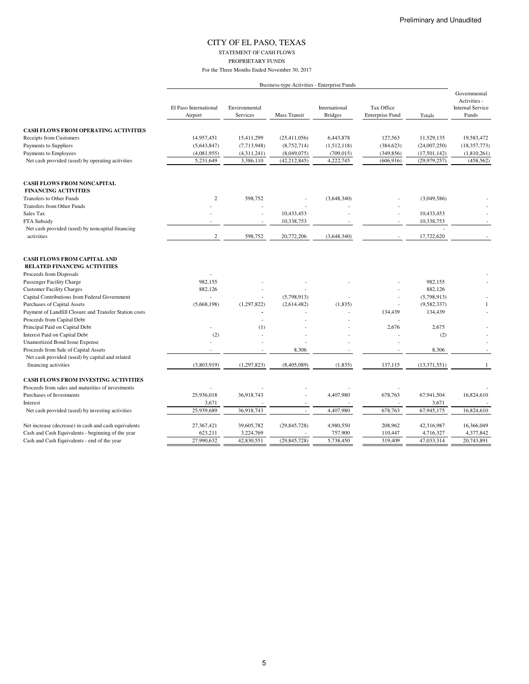## CITY OF EL PASO, TEXAS STATEMENT OF CASH FLOWS

PROPRIETARY FUNDS

|                                                                           |                                  |                           |                          | Business-type Activities - Enterprise Funds |                                      |                |                                                                  |
|---------------------------------------------------------------------------|----------------------------------|---------------------------|--------------------------|---------------------------------------------|--------------------------------------|----------------|------------------------------------------------------------------|
|                                                                           | El Paso International<br>Airport | Environmental<br>Services | <b>Mass Transit</b>      | International<br><b>Bridges</b>             | Tax Office<br><b>Enterprise Fund</b> | Totals         | Governmental<br>Activities -<br><b>Internal Service</b><br>Funds |
| <b>CASH FLOWS FROM OPERATING ACTIVITIES</b>                               |                                  |                           |                          |                                             |                                      |                |                                                                  |
| <b>Receipts from Customers</b>                                            | 14,957,451                       | 15,411,299                | (25, 411, 056)           | 6,443,878                                   | 127,563                              | 11,529,135     | 19,583,472                                                       |
| Payments to Suppliers                                                     | (5,643,847)                      | (7,713,948)               | (8,752,714)              | (1,512,118)                                 | (384, 623)                           | (24,007,250)   | (18, 357, 773)                                                   |
| Payments to Employees                                                     | (4,081,955)                      | (4,311,241)               | (8,049,075)              | (709, 015)                                  | (349, 856)                           | (17, 501, 142) | (1,810,261)                                                      |
| Net cash provided (used) by operating activities                          | 5,231,649                        | 3,386,110                 | (42, 212, 845)           | 4,222,745                                   | (606, 916)                           | (29, 979, 257) | (458, 562)                                                       |
|                                                                           |                                  |                           |                          |                                             |                                      |                |                                                                  |
| <b>CASH FLOWS FROM NONCAPITAL</b><br><b>FINANCING ACTIVITIES</b>          |                                  |                           |                          |                                             |                                      |                |                                                                  |
| <b>Transfers to Other Funds</b>                                           | $\overline{c}$                   | 598,752                   |                          |                                             |                                      |                |                                                                  |
| <b>Transfers from Other Funds</b>                                         |                                  |                           |                          | (3,648,340)                                 |                                      | (3,049,586)    |                                                                  |
| Sales Tax                                                                 |                                  | ÷,                        | 10,433,453               |                                             | L,                                   | 10,433,453     |                                                                  |
| FTA Subsidy                                                               |                                  |                           | 10,338,753               |                                             |                                      | 10,338,753     |                                                                  |
| Net cash provided (used) by noncapital financing                          |                                  |                           |                          |                                             |                                      |                |                                                                  |
| activities                                                                | $\mathbf{2}$                     | 598,752                   | 20,772,206               | (3,648,340)                                 |                                      | 17,722,620     |                                                                  |
| <b>CASH FLOWS FROM CAPITAL AND</b><br><b>RELATED FINANCING ACTIVITIES</b> |                                  |                           |                          |                                             |                                      |                |                                                                  |
| Proceeds from Disposals                                                   |                                  |                           |                          |                                             |                                      |                |                                                                  |
| Passenger Facility Charge                                                 | 982,155                          |                           |                          |                                             |                                      | 982,155        |                                                                  |
| <b>Customer Facility Charges</b>                                          | 882,126                          |                           |                          |                                             |                                      | 882,126        |                                                                  |
| Capital Contributions from Federal Government                             | ÷.                               | ÷.                        | (5,798,913)              | L,                                          | $\overline{a}$                       | (5,798,913)    |                                                                  |
| <b>Purchases of Capital Assets</b>                                        | (5,668,198)                      | (1,297,822)               | (2,614,482)              | (1, 835)                                    |                                      | (9,582,337)    | $\mathbf{1}$                                                     |
| Payment of Landfill Closure and Transfer Station costs                    |                                  |                           |                          |                                             | 134,439                              | 134,439        |                                                                  |
| Proceeds from Capital Debt                                                |                                  | ÷.                        |                          |                                             |                                      |                |                                                                  |
| Principal Paid on Capital Debt                                            |                                  | (1)                       |                          |                                             | 2,676                                | 2,675          |                                                                  |
| Interest Paid on Capital Debt                                             | (2)                              |                           |                          |                                             | ÷,                                   | (2)            |                                                                  |
| <b>Unamortized Bond Issue Expense</b>                                     |                                  |                           |                          |                                             |                                      |                |                                                                  |
| Proceeds from Sale of Capital Assets                                      | ٠                                |                           | 8,306                    | ٠                                           | $\overline{\phantom{a}}$             | 8,306          | $\sim$                                                           |
| Net cash provided (used) by capital and related                           |                                  |                           |                          |                                             |                                      |                |                                                                  |
| financing activities                                                      | (3,803,919)                      | (1, 297, 823)             | (8,405,089)              | (1, 835)                                    | 137,115                              | (13, 371, 551) | $\mathbf{1}$                                                     |
| <b>CASH FLOWS FROM INVESTING ACTIVITIES</b>                               |                                  |                           |                          |                                             |                                      |                |                                                                  |
| Proceeds from sales and maturities of investments                         |                                  |                           |                          |                                             |                                      |                |                                                                  |
| Purchases of Investments                                                  | 25,936,018                       | 36,918,743                |                          | 4,407,980                                   | 678,763                              | 67,941,504     | 16,824,610                                                       |
| Interest                                                                  | 3,671                            |                           | $\overline{\phantom{a}}$ |                                             |                                      | 3,671          |                                                                  |
| Net cash provided (used) by investing activities                          | 25,939,689                       | 36,918,743                |                          | 4,407,980                                   | 678,763                              | 67,945,175     | 16,824,610                                                       |
| Net increase (decrease) in cash and cash equivalents                      | 27,367,421                       | 39,605,782                | (29, 845, 728)           | 4,980,550                                   | 208,962                              | 42,316,987     | 16,366,049                                                       |
| Cash and Cash Equivalents - beginning of the year                         | 623,211                          | 3,224,769                 |                          | 757,900                                     | 110,447                              | 4,716,327      | 4,377,842                                                        |
| Cash and Cash Equivalents - end of the year                               | 27,990,632                       | 42,830,551                | (29, 845, 728)           | 5,738,450                                   | 319,409                              | 47,033,314     | 20,743,891                                                       |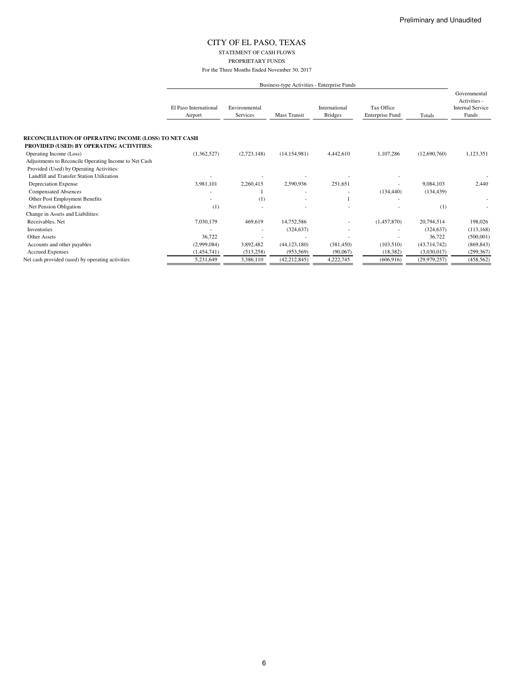STATEMENT OF CASH FLOWS

PROPRIETARY FUNDS

|                                                       |                                  | Business-type Activities - Enterprise Funds |                     |                                 |                               |                |                                                                  |  |  |
|-------------------------------------------------------|----------------------------------|---------------------------------------------|---------------------|---------------------------------|-------------------------------|----------------|------------------------------------------------------------------|--|--|
|                                                       | El Paso International<br>Airport | Environmental<br>Services                   | <b>Mass Transit</b> | International<br><b>Bridges</b> | Tax Office<br>Enterprise Fund | Totals         | Governmental<br>Activities -<br><b>Internal Service</b><br>Funds |  |  |
| RECONCILIATION OF OPERATING INCOME (LOSS) TO NET CASH |                                  |                                             |                     |                                 |                               |                |                                                                  |  |  |
| PROVIDED (USED) BY OPERATING ACTIVITIES:              |                                  |                                             |                     |                                 |                               |                |                                                                  |  |  |
| Operating Income (Loss)                               | (1,362,527)                      | (2,723,148)                                 | (14, 154, 981)      | 4,442,610                       | 1,107,286                     | (12,690,760)   | 1,123,351                                                        |  |  |
| Adjustments to Reconcile Operating Income to Net Cash |                                  |                                             |                     |                                 |                               |                |                                                                  |  |  |
| Provided (Used) by Operating Activities:              |                                  |                                             |                     |                                 |                               |                |                                                                  |  |  |
| Landfill and Transfer Station Utilization             |                                  |                                             |                     |                                 |                               |                |                                                                  |  |  |
| Depreciation Expense                                  | 3,981,101                        | 2,260,415                                   | 2,590,936           | 251,651                         |                               | 9,084,103      | 2,440                                                            |  |  |
| <b>Compensated Absences</b>                           |                                  |                                             |                     |                                 | (134, 440)                    | (134, 439)     |                                                                  |  |  |
| Other Post Employment Benefits                        |                                  | (1)                                         |                     |                                 |                               |                |                                                                  |  |  |
| Net Pension Obligation                                | (1)                              |                                             |                     |                                 |                               | (1)            |                                                                  |  |  |
| Change in Assets and Liabilities:                     |                                  |                                             |                     |                                 |                               |                |                                                                  |  |  |
| Receivables, Net                                      | 7,030,179                        | 469,619                                     | 14,752,586          |                                 | (1,457,870)                   | 20,794,514     | 198,026                                                          |  |  |
| Inventories                                           |                                  |                                             | (324, 637)          |                                 |                               | (324, 637)     | (113, 168)                                                       |  |  |
| <b>Other Assets</b>                                   | 36,722                           |                                             |                     |                                 |                               | 36,722         | (500,001)                                                        |  |  |
| Accounts and other payables                           | (2,999,084)                      | 3,892,482                                   | (44, 123, 180)      | (381, 450)                      | (103,510)                     | (43, 714, 742) | (869, 843)                                                       |  |  |
| <b>Accrued Expenses</b>                               | (1,454,741)                      | (513, 258)                                  | (953, 569)          | (90,067)                        | (18, 382)                     | (3,030,017)    | (299, 367)                                                       |  |  |
| Net cash provided (used) by operating activities      | 5,231,649                        | 3,386,110                                   | (42, 212, 845)      | 4,222,745                       | (606, 916)                    | (29, 979, 257) | (458, 562)                                                       |  |  |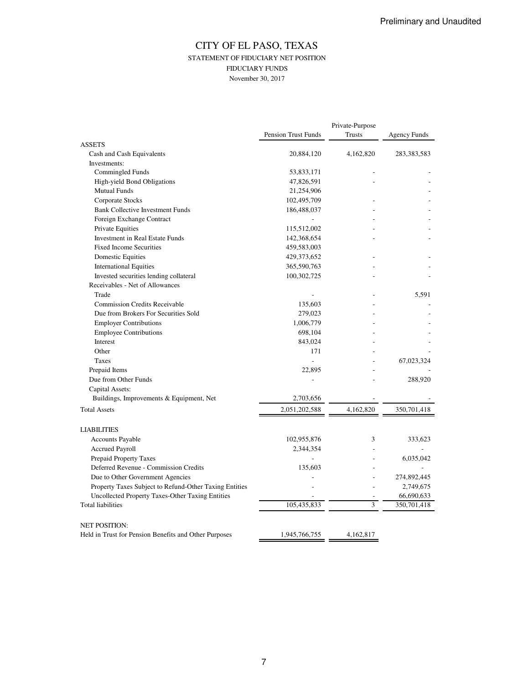## CITY OF EL PASO, TEXAS STATEMENT OF FIDUCIARY NET POSITION FIDUCIARY FUNDS November 30, 2017

|                                                        |                            | Private-Purpose |                     |
|--------------------------------------------------------|----------------------------|-----------------|---------------------|
|                                                        | <b>Pension Trust Funds</b> | <b>Trusts</b>   | <b>Agency Funds</b> |
| <b>ASSETS</b>                                          |                            |                 |                     |
| Cash and Cash Equivalents                              | 20,884,120                 | 4,162,820       | 283, 383, 583       |
| Investments:                                           |                            |                 |                     |
| Commingled Funds                                       | 53,833,171                 |                 |                     |
| High-yield Bond Obligations                            | 47,826,591                 |                 |                     |
| <b>Mutual Funds</b>                                    | 21,254,906                 |                 |                     |
| Corporate Stocks                                       | 102,495,709                |                 |                     |
| <b>Bank Collective Investment Funds</b>                | 186,488,037                |                 |                     |
| Foreign Exchange Contract                              |                            |                 |                     |
| Private Equities                                       | 115,512,002                |                 |                     |
| Investment in Real Estate Funds                        | 142,368,654                |                 |                     |
| <b>Fixed Income Securities</b>                         | 459,583,003                |                 |                     |
| <b>Domestic Equities</b>                               | 429,373,652                |                 |                     |
| <b>International Equities</b>                          | 365,590,763                |                 |                     |
| Invested securities lending collateral                 | 100,302,725                |                 |                     |
| Receivables - Net of Allowances                        |                            |                 |                     |
| Trade                                                  |                            |                 | 5,591               |
| <b>Commission Credits Receivable</b>                   | 135,603                    |                 |                     |
| Due from Brokers For Securities Sold                   | 279,023                    |                 |                     |
| <b>Employer Contributions</b>                          | 1,006,779                  |                 |                     |
| <b>Employee Contributions</b>                          | 698,104                    |                 |                     |
| Interest                                               | 843,024                    |                 |                     |
| Other                                                  | 171                        |                 |                     |
| Taxes                                                  | L.                         |                 | 67,023,324          |
| Prepaid Items                                          | 22,895                     |                 |                     |
| Due from Other Funds                                   |                            |                 | 288,920             |
| Capital Assets:                                        |                            |                 |                     |
| Buildings, Improvements & Equipment, Net               | 2,703,656                  |                 |                     |
| <b>Total Assets</b>                                    | 2,051,202,588              | 4,162,820       | 350,701,418         |
| <b>LIABILITIES</b>                                     |                            |                 |                     |
| <b>Accounts Payable</b>                                | 102,955,876                | 3               | 333,623             |
| <b>Accrued Payroll</b>                                 | 2,344,354                  |                 |                     |
| Prepaid Property Taxes                                 |                            |                 | 6,035,042           |
| Deferred Revenue - Commission Credits                  | 135,603                    |                 |                     |
| Due to Other Government Agencies                       |                            |                 | 274,892,445         |
| Property Taxes Subject to Refund-Other Taxing Entities |                            |                 | 2,749,675           |
| Uncollected Property Taxes-Other Taxing Entities       |                            |                 | 66,690,633          |
| <b>Total liabilities</b>                               | 105,435,833                | 3               | 350,701,418         |
| <b>NET POSITION:</b>                                   |                            |                 |                     |
| Held in Trust for Pension Benefits and Other Purposes  | 1,945,766,755              | 4,162,817       |                     |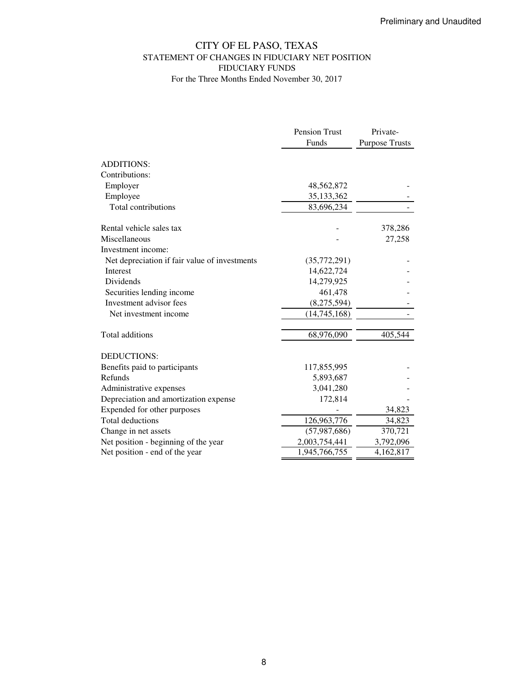## CITY OF EL PASO, TEXAS STATEMENT OF CHANGES IN FIDUCIARY NET POSITION FIDUCIARY FUNDS For the Three Months Ended November 30, 2017

|                                               | Pension Trust  | Private-              |
|-----------------------------------------------|----------------|-----------------------|
|                                               | Funds          | <b>Purpose Trusts</b> |
| <b>ADDITIONS:</b>                             |                |                       |
| Contributions:                                |                |                       |
| Employer                                      | 48,562,872     |                       |
| Employee                                      | 35,133,362     |                       |
| Total contributions                           | 83,696,234     |                       |
| Rental vehicle sales tax                      |                | 378,286               |
| Miscellaneous                                 |                | 27,258                |
| Investment income:                            |                |                       |
| Net depreciation if fair value of investments | (35,772,291)   |                       |
| <b>Interest</b>                               | 14,622,724     |                       |
| <b>Dividends</b>                              | 14,279,925     |                       |
| Securities lending income                     | 461,478        |                       |
| Investment advisor fees                       | (8,275,594)    |                       |
| Net investment income                         | (14, 745, 168) |                       |
| Total additions                               | 68,976,090     | 405,544               |
| <b>DEDUCTIONS:</b>                            |                |                       |
| Benefits paid to participants                 | 117,855,995    |                       |
| Refunds                                       | 5,893,687      |                       |
| Administrative expenses                       | 3,041,280      |                       |
| Depreciation and amortization expense         | 172,814        |                       |
| Expended for other purposes                   |                | 34,823                |
| <b>Total deductions</b>                       | 126,963,776    | 34,823                |
| Change in net assets                          | (57, 987, 686) | 370,721               |
| Net position - beginning of the year          | 2,003,754,441  | 3,792,096             |
| Net position - end of the year                | 1,945,766,755  | 4,162,817             |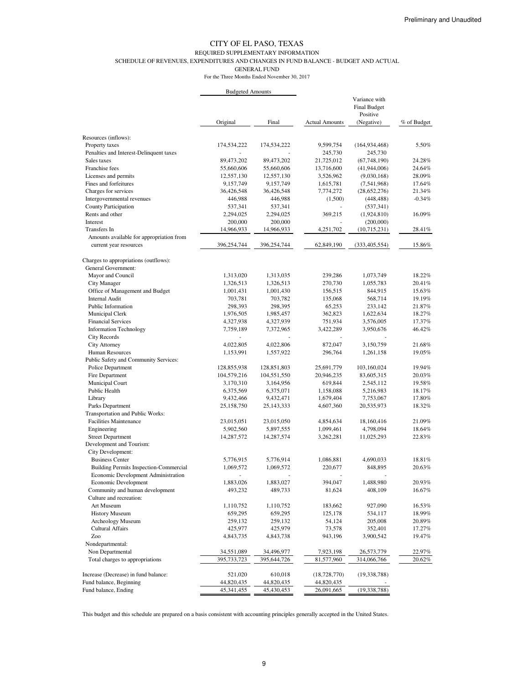#### REQUIRED SUPPLEMENTARY INFORMATION

SCHEDULE OF REVENUES, EXPENDITURES AND CHANGES IN FUND BALANCE - BUDGET AND ACTUAL

GENERAL FUND

For the Three Months Ended November 30, 2017

|                                          | <b>Budgeted Amounts</b> |             |                       |                               |             |
|------------------------------------------|-------------------------|-------------|-----------------------|-------------------------------|-------------|
|                                          |                         |             |                       | Variance with<br>Final Budget |             |
|                                          | Original                | Final       | <b>Actual Amounts</b> | Positive<br>(Negative)        | % of Budget |
| Resources (inflows):                     |                         |             |                       |                               |             |
| Property taxes                           | 174,534,222             | 174,534,222 | 9,599,754             | (164, 934, 468)               | 5.50%       |
| Penalties and Interest-Delinquent taxes  |                         |             | 245,730               | 245,730                       |             |
| Sales taxes                              | 89,473,202              | 89,473,202  | 21,725,012            | (67,748,190)                  | 24.28%      |
| Franchise fees                           | 55,660,606              | 55,660,606  | 13,716,600            | (41, 944, 006)                | 24.64%      |
| Licenses and permits                     | 12,557,130              | 12,557,130  | 3,526,962             | (9,030,168)                   | 28.09%      |
| Fines and forfeitures                    | 9,157,749               | 9,157,749   | 1,615,781             | (7,541,968)                   | 17.64%      |
| Charges for services                     | 36,426,548              | 36,426,548  | 7,774,272             | (28,652,276)                  | 21.34%      |
| Intergovernmental revenues               | 446,988                 | 446,988     | (1,500)               | (448, 488)                    | $-0.34%$    |
| <b>County Participation</b>              | 537,341                 | 537,341     |                       | (537, 341)                    |             |
| Rents and other                          | 2,294,025               | 2,294,025   | 369,215               | (1,924,810)                   | 16.09%      |
| Interest                                 | 200,000                 | 200,000     |                       | (200,000)                     |             |
| Transfers In                             | 14,966,933              | 14,966,933  | 4,251,702             | (10,715,231)                  | 28.41%      |
| Amounts available for appropriation from |                         |             |                       |                               |             |
| current year resources                   | 396,254,744             | 396,254,744 | 62,849,190            | (333, 405, 554)               | 15.86%      |
| Charges to appropriations (outflows):    |                         |             |                       |                               |             |
| General Government:                      |                         |             |                       |                               |             |
| Mayor and Council                        | 1,313,020               | 1,313,035   | 239,286               | 1,073,749                     | 18.22%      |
| City Manager                             | 1,326,513               | 1,326,513   | 270,730               | 1,055,783                     | 20.41%      |
| Office of Management and Budget          | 1,001,431               | 1,001,430   | 156,515               | 844,915                       | 15.63%      |
| <b>Internal Audit</b>                    | 703,781                 | 703,782     | 135,068               | 568,714                       | 19.19%      |
| Public Information                       | 298,393                 | 298,395     | 65,253                | 233,142                       | 21.87%      |
| Municipal Clerk                          | 1,976,505               | 1,985,457   | 362,823               | 1,622,634                     | 18.27%      |
| <b>Financial Services</b>                | 4,327,938               | 4,327,939   | 751,934               | 3,576,005                     | 17.37%      |
| <b>Information Technology</b>            | 7,759,189               | 7,372,965   | 3,422,289             | 3,950,676                     | 46.42%      |
| City Records                             |                         |             |                       |                               |             |
| City Attorney                            | 4,022,805               | 4,022,806   | 872,047               | 3,150,759                     | 21.68%      |
| Human Resources                          | 1,153,991               | 1,557,922   | 296,764               | 1,261,158                     | 19.05%      |
| Public Safety and Community Services:    |                         |             |                       |                               |             |
| Police Department                        | 128,855,938             | 128,851,803 | 25,691,779            | 103,160,024                   | 19.94%      |
| Fire Department                          | 104,579,216             | 104,551,550 | 20,946,235            | 83,605,315                    | 20.03%      |
| Municipal Court                          | 3,170,310               | 3,164,956   | 619,844               | 2,545,112                     | 19.58%      |
| Public Health                            | 6,375,569               | 6,375,071   | 1,158,088             | 5,216,983                     | 18.17%      |
| Library                                  | 9,432,466               | 9,432,471   | 1,679,404             | 7,753,067                     | 17.80%      |
| Parks Department                         | 25,158,750              | 25,143,333  | 4,607,360             | 20,535,973                    | 18.32%      |
| <b>Transportation and Public Works:</b>  |                         |             |                       |                               |             |
| <b>Facilities Maintenance</b>            | 23,015,051              | 23,015,050  | 4,854,634             | 18,160,416                    | 21.09%      |
| Engineering                              | 5,902,560               | 5,897,555   | 1,099,461             | 4,798,094                     | 18.64%      |
| <b>Street Department</b>                 | 14,287,572              | 14,287,574  | 3,262,281             | 11,025,293                    | 22.83%      |
| Development and Tourism:                 |                         |             |                       |                               |             |
| City Development:                        |                         |             |                       |                               |             |
| <b>Business Center</b>                   | 5,776,915               | 5,776,914   | 1,086,881             | 4,690,033                     | 18.81%      |
| Building Permits Inspection-Commercial   | 1,069,572               | 1,069,572   | 220,677               | 848,895                       | 20.63%      |
| Economic Development Administration      |                         |             |                       |                               |             |
| Economic Development                     | 1,883,026               | 1,883,027   | 394,047               | 1,488,980                     | 20.93%      |
| Community and human development          | 493,232                 | 489,733     | 81,624                | 408,109                       | 16.67%      |
| Culture and recreation:                  |                         |             |                       |                               |             |
| Art Museum                               | 1,110,752               | 1,110,752   | 183,662               | 927,090                       | 16.53%      |
| <b>History Museum</b>                    | 659,295                 | 659,295     | 125,178               | 534,117                       | 18.99%      |
| Archeology Museum                        | 259,132                 | 259,132     | 54,124                | 205,008                       | 20.89%      |
| <b>Cultural Affairs</b>                  | 425,977                 | 425,979     | 73,578                | 352,401                       | 17.27%      |
| Zoo                                      | 4,843,735               | 4,843,738   | 943,196               | 3,900,542                     | 19.47%      |
| Nondepartmental:                         |                         |             |                       |                               |             |
| Non Departmental                         | 34,551,089              | 34,496,977  | 7,923,198             | 26,573,779                    | 22.97%      |
| Total charges to appropriations          | 395,733,723             | 395,644,726 | 81,577,960            | 314,066,766                   | 20.62%      |
| Increase (Decrease) in fund balance:     | 521,020                 | 610,018     | (18, 728, 770)        | (19, 338, 788)                |             |
| Fund balance, Beginning                  | 44,820,435              | 44,820,435  | 44,820,435            |                               |             |
| Fund balance, Ending                     | 45, 341, 455            | 45,430,453  | 26,091,665            | (19, 338, 788)                |             |

This budget and this schedule are prepared on a basis consistent with accounting principles generally accepted in the United States.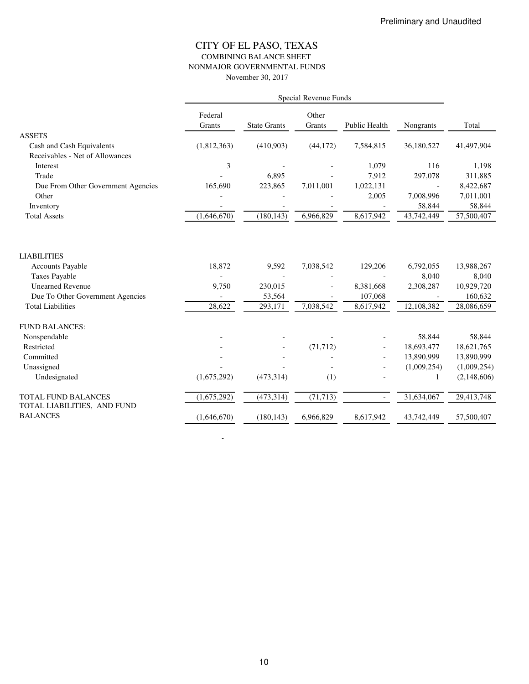## CITY OF EL PASO, TEXAS COMBINING BALANCE SHEET NONMAJOR GOVERNMENTAL FUNDS November 30, 2017

|                                                                                                                                                                  | Special Revenue Funds     |                                       |                        |                                              |                                               |                                                            |  |
|------------------------------------------------------------------------------------------------------------------------------------------------------------------|---------------------------|---------------------------------------|------------------------|----------------------------------------------|-----------------------------------------------|------------------------------------------------------------|--|
|                                                                                                                                                                  | Federal<br>Grants         | <b>State Grants</b>                   | Other<br>Grants        | Public Health                                | Nongrants                                     | Total                                                      |  |
| <b>ASSETS</b>                                                                                                                                                    |                           |                                       |                        |                                              |                                               |                                                            |  |
| Cash and Cash Equivalents                                                                                                                                        | (1,812,363)               | (410,903)                             | (44, 172)              | 7,584,815                                    | 36,180,527                                    | 41,497,904                                                 |  |
| Receivables - Net of Allowances                                                                                                                                  |                           |                                       |                        |                                              |                                               |                                                            |  |
| Interest                                                                                                                                                         | 3                         |                                       |                        | 1,079                                        | 116                                           | 1,198                                                      |  |
| Trade                                                                                                                                                            |                           | 6.895                                 |                        | 7,912                                        | 297,078                                       | 311,885                                                    |  |
| Due From Other Government Agencies                                                                                                                               | 165,690                   | 223,865                               | 7,011,001              | 1,022,131                                    | $\blacksquare$                                | 8,422,687                                                  |  |
| Other                                                                                                                                                            |                           |                                       |                        | 2,005                                        | 7,008,996                                     | 7,011,001                                                  |  |
| Inventory                                                                                                                                                        |                           |                                       |                        |                                              | 58,844                                        | 58,844                                                     |  |
| <b>Total Assets</b>                                                                                                                                              | (1,646,670)               | (180, 143)                            | 6,966,829              | 8,617,942                                    | 43,742,449                                    | 57,500,407                                                 |  |
| <b>LIABILITIES</b><br><b>Accounts Payable</b><br><b>Taxes Payable</b><br><b>Unearned Revenue</b><br>Due To Other Government Agencies<br><b>Total Liabilities</b> | 18,872<br>9,750<br>28,622 | 9,592<br>230,015<br>53,564<br>293,171 | 7,038,542<br>7,038,542 | 129,206<br>8,381,668<br>107,068<br>8,617,942 | 6,792,055<br>8,040<br>2,308,287<br>12,108,382 | 13,988,267<br>8,040<br>10,929,720<br>160,632<br>28,086,659 |  |
|                                                                                                                                                                  |                           |                                       |                        |                                              |                                               |                                                            |  |
| <b>FUND BALANCES:</b>                                                                                                                                            |                           |                                       |                        |                                              |                                               |                                                            |  |
| Nonspendable<br>Restricted                                                                                                                                       |                           |                                       |                        |                                              | 58,844                                        | 58,844                                                     |  |
| Committed                                                                                                                                                        |                           |                                       | (71, 712)              |                                              | 18,693,477<br>13,890,999                      | 18,621,765                                                 |  |
| Unassigned                                                                                                                                                       |                           |                                       |                        |                                              | (1,009,254)                                   | 13,890,999<br>(1,009,254)                                  |  |
|                                                                                                                                                                  |                           |                                       |                        |                                              |                                               |                                                            |  |
| Undesignated                                                                                                                                                     | (1,675,292)               | (473, 314)                            | (1)                    |                                              |                                               | (2,148,606)                                                |  |
| TOTAL FUND BALANCES                                                                                                                                              | (1,675,292)               | (473, 314)                            | (71, 713)              |                                              | 31,634,067                                    | 29,413,748                                                 |  |
| TOTAL LIABILITIES, AND FUND                                                                                                                                      |                           |                                       |                        |                                              |                                               |                                                            |  |
| <b>BALANCES</b>                                                                                                                                                  | (1,646,670)               | (180, 143)                            | 6,966,829              | 8,617,942                                    | 43,742,449                                    | 57,500,407                                                 |  |

- 100 minutes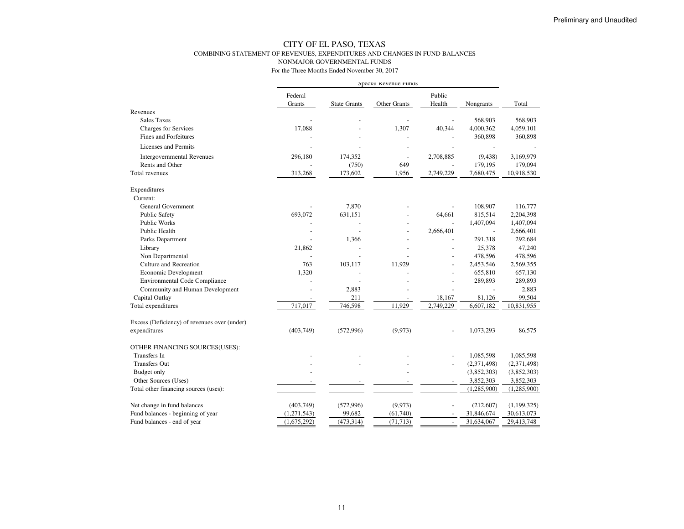### CITY OF EL PASO, TEXAS COMBINING STATEMENT OF REVENUES, EXPENDITURES AND CHANGES IN FUND BALANCESNONMAJOR GOVERNMENTAL FUNDS

|                                              | Special Revenue Funds |                     |              |                          |                          |               |
|----------------------------------------------|-----------------------|---------------------|--------------|--------------------------|--------------------------|---------------|
|                                              | Federal               |                     |              | Public                   |                          |               |
|                                              | Grants                | <b>State Grants</b> | Other Grants | Health                   | Nongrants                | Total         |
| Revenues                                     |                       |                     |              |                          |                          |               |
| <b>Sales Taxes</b>                           |                       |                     |              |                          | 568,903                  | 568,903       |
| Charges for Services                         | 17,088                |                     | 1,307        | 40,344                   | 4,000,362                | 4,059,101     |
| <b>Fines and Forfeitures</b>                 |                       |                     |              |                          | 360,898                  | 360,898       |
| <b>Licenses and Permits</b>                  |                       |                     |              |                          |                          |               |
| <b>Intergovernmental Revenues</b>            | 296,180               | 174,352             | Ē,           | 2,708,885                | (9, 438)                 | 3,169,979     |
| Rents and Other                              |                       | (750)               | 649          |                          | 179,195                  | 179,094       |
| <b>Total revenues</b>                        | 313,268               | 173,602             | 1,956        | 2,749,229                | 7,680,475                | 10,918,530    |
| Expenditures                                 |                       |                     |              |                          |                          |               |
| Current:                                     |                       |                     |              |                          |                          |               |
| <b>General Government</b>                    |                       | 7,870               |              |                          | 108,907                  | 116,777       |
| <b>Public Safety</b>                         | 693,072               | 631,151             |              | 64,661                   | 815,514                  | 2,204,398     |
| <b>Public Works</b>                          |                       |                     |              |                          | 1,407,094                | 1,407,094     |
| Public Health                                | ÷                     |                     | ÷            | 2,666,401                | $\overline{\phantom{a}}$ | 2,666,401     |
| Parks Department                             |                       | 1,366               |              |                          | 291,318                  | 292,684       |
| Library                                      | 21,862                |                     |              |                          | 25,378                   | 47,240        |
| Non Departmental                             |                       |                     |              |                          | 478,596                  | 478,596       |
| Culture and Recreation                       | 763                   | 103,117             | 11,929       |                          | 2,453,546                | 2,569,355     |
| Economic Development                         | 1,320                 |                     |              |                          | 655,810                  | 657,130       |
| <b>Environmental Code Compliance</b>         |                       |                     |              |                          | 289,893                  | 289,893       |
| Community and Human Development              |                       | 2,883               |              |                          |                          | 2,883         |
| Capital Outlay                               |                       | 211                 |              | 18,167                   | 81,126                   | 99,504        |
| Total expenditures                           | 717,017               | 746,598             | 11,929       | 2,749,229                | 6,607,182                | 10,831,955    |
| Excess (Deficiency) of revenues over (under) |                       |                     |              |                          |                          |               |
| expenditures                                 | (403, 749)            | (572,996)           | (9,973)      |                          | 1,073,293                | 86,575        |
| OTHER FINANCING SOURCES(USES):               |                       |                     |              |                          |                          |               |
| Transfers In                                 |                       |                     |              |                          | 1,085,598                | 1,085,598     |
| <b>Transfers Out</b>                         |                       |                     |              |                          | (2,371,498)              | (2,371,498)   |
| Budget only                                  |                       |                     |              |                          | (3,852,303)              | (3,852,303)   |
| Other Sources (Uses)                         |                       |                     |              |                          | 3,852,303                | 3,852,303     |
| Total other financing sources (uses):        |                       |                     |              |                          | (1,285,900)              | (1,285,900)   |
| Net change in fund balances                  | (403,749)             | (572,996)           | (9,973)      |                          | (212, 607)               | (1, 199, 325) |
| Fund balances - beginning of year            | (1,271,543)           | 99,682              | (61,740)     |                          | 31,846,674               | 30,613,073    |
| Fund balances - end of year                  | (1,675,292)           | (473, 314)          | (71, 713)    | $\overline{\phantom{a}}$ | 31,634,067               | 29,413,748    |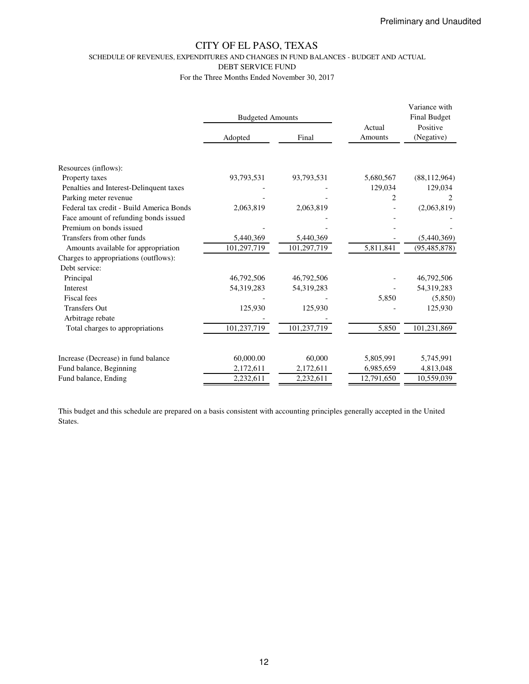SCHEDULE OF REVENUES, EXPENDITURES AND CHANGES IN FUND BALANCES - BUDGET AND ACTUAL

DEBT SERVICE FUND

For the Three Months Ended November 30, 2017

|                                          | <b>Budgeted Amounts</b> |             | Actual     | Variance with<br><b>Final Budget</b><br>Positive |  |
|------------------------------------------|-------------------------|-------------|------------|--------------------------------------------------|--|
|                                          | Adopted                 | Final       | Amounts    | (Negative)                                       |  |
|                                          |                         |             |            |                                                  |  |
| Resources (inflows):                     |                         |             |            |                                                  |  |
| Property taxes                           | 93,793,531              | 93,793,531  | 5,680,567  | (88, 112, 964)                                   |  |
| Penalties and Interest-Delinquent taxes  |                         |             | 129,034    | 129,034                                          |  |
| Parking meter revenue                    |                         |             | 2          |                                                  |  |
| Federal tax credit - Build America Bonds | 2,063,819               | 2,063,819   |            | (2,063,819)                                      |  |
| Face amount of refunding bonds issued    |                         |             |            |                                                  |  |
| Premium on bonds issued                  |                         |             |            |                                                  |  |
| Transfers from other funds               | 5,440,369               | 5,440,369   |            | (5,440,369)                                      |  |
| Amounts available for appropriation      | 101,297,719             | 101,297,719 | 5,811,841  | (95, 485, 878)                                   |  |
| Charges to appropriations (outflows):    |                         |             |            |                                                  |  |
| Debt service:                            |                         |             |            |                                                  |  |
| Principal                                | 46,792,506              | 46,792,506  |            | 46,792,506                                       |  |
| Interest                                 | 54,319,283              | 54,319,283  |            | 54,319,283                                       |  |
| <b>Fiscal</b> fees                       |                         |             | 5,850      | (5,850)                                          |  |
| <b>Transfers Out</b>                     | 125,930                 | 125,930     |            | 125,930                                          |  |
| Arbitrage rebate                         |                         |             |            |                                                  |  |
| Total charges to appropriations          | 101,237,719             | 101,237,719 | 5,850      | 101,231,869                                      |  |
|                                          |                         |             |            |                                                  |  |
| Increase (Decrease) in fund balance      | 60,000.00               | 60,000      | 5,805,991  | 5,745,991                                        |  |
| Fund balance, Beginning                  | 2,172,611               | 2,172,611   | 6,985,659  | 4,813,048                                        |  |
| Fund balance, Ending                     | 2,232,611               | 2,232,611   | 12,791,650 | 10,559,039                                       |  |

This budget and this schedule are prepared on a basis consistent with accounting principles generally accepted in the United States.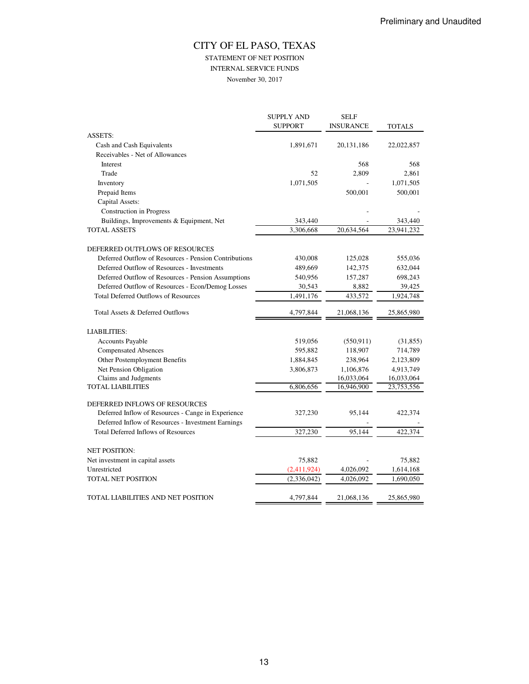# CITY OF EL PASO, TEXAS STATEMENT OF NET POSITION

INTERNAL SERVICE FUNDS

November 30, 2017

|                                                                                                  | <b>SUPPLY AND</b><br><b>SUPPORT</b> | <b>SELF</b><br><b>INSURANCE</b> | <b>TOTALS</b> |
|--------------------------------------------------------------------------------------------------|-------------------------------------|---------------------------------|---------------|
| <b>ASSETS:</b>                                                                                   |                                     |                                 |               |
| Cash and Cash Equivalents                                                                        | 1,891,671                           | 20, 131, 186                    | 22,022,857    |
| Receivables - Net of Allowances                                                                  |                                     |                                 |               |
| Interest                                                                                         |                                     | 568                             | 568           |
| Trade                                                                                            | 52                                  | 2,809                           | 2,861         |
| Inventory                                                                                        | 1,071,505                           |                                 | 1,071,505     |
| Prepaid Items                                                                                    |                                     | 500,001                         | 500,001       |
| Capital Assets:                                                                                  |                                     |                                 |               |
| <b>Construction</b> in Progress                                                                  |                                     |                                 |               |
| Buildings, Improvements & Equipment, Net                                                         | 343,440                             |                                 | 343,440       |
| TOTAL ASSETS                                                                                     | 3.306.668                           | 20.634.564                      | 23.941.232    |
| DEFERRED OUTFLOWS OF RESOURCES                                                                   |                                     |                                 |               |
| Deferred Outflow of Resources - Pension Contributions                                            | 430,008                             | 125,028                         | 555,036       |
| Deferred Outflow of Resources - Investments                                                      | 489,669                             | 142,375                         | 632,044       |
| Deferred Outflow of Resources - Pension Assumptions                                              | 540,956                             | 157,287                         | 698,243       |
| Deferred Outflow of Resources - Econ/Demog Losses                                                | 30,543                              | 8,882                           | 39,425        |
| <b>Total Deferred Outflows of Resources</b>                                                      | 1,491,176                           | 433,572                         | 1,924,748     |
| Total Assets & Deferred Outflows                                                                 | 4,797,844                           | 21,068,136                      | 25,865,980    |
| <b>LIABILITIES:</b>                                                                              |                                     |                                 |               |
| <b>Accounts Payable</b>                                                                          | 519,056                             | (550, 911)                      | (31, 855)     |
| <b>Compensated Absences</b>                                                                      | 595,882                             | 118,907                         | 714,789       |
| Other Postemployment Benefits                                                                    | 1,884,845                           | 238,964                         | 2,123,809     |
| Net Pension Obligation                                                                           | 3,806,873                           | 1,106,876                       | 4,913,749     |
| Claims and Judgments                                                                             |                                     | 16,033,064                      | 16,033,064    |
| <b>TOTAL LIABILITIES</b>                                                                         | 6,806,656                           | 16,946,900                      | 23,753,556    |
| DEFERRED INFLOWS OF RESOURCES                                                                    |                                     |                                 |               |
| Deferred Inflow of Resources - Cange in Experience                                               | 327,230                             | 95,144                          | 422,374       |
| Deferred Inflow of Resources - Investment Earnings<br><b>Total Deferred Inflows of Resources</b> | 327,230                             | 95,144                          | 422,374       |
|                                                                                                  |                                     |                                 |               |
| <b>NET POSITION:</b>                                                                             |                                     |                                 |               |
| Net investment in capital assets                                                                 | 75,882                              |                                 | 75,882        |
| Unrestricted                                                                                     | (2,411,924)                         | 4,026,092                       | 1,614,168     |
| <b>TOTAL NET POSITION</b>                                                                        | (2,336,042)                         | 4,026,092                       | 1,690,050     |
| TOTAL LIABILITIES AND NET POSITION                                                               | 4,797,844                           | 21,068,136                      | 25,865,980    |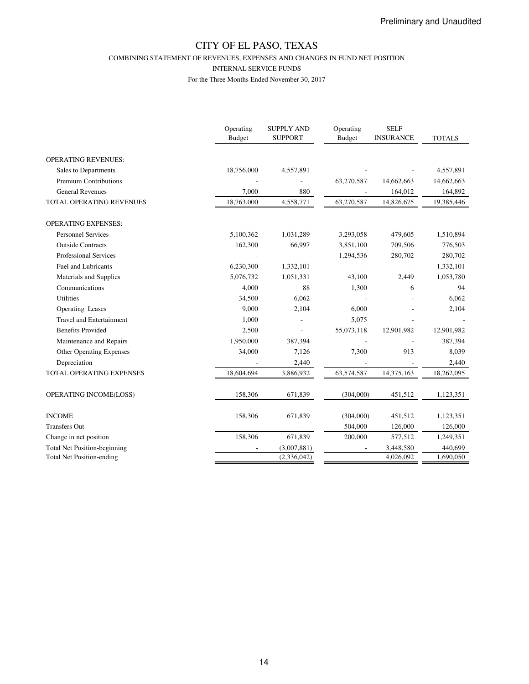COMBINING STATEMENT OF REVENUES, EXPENSES AND CHANGES IN FUND NET POSITION

INTERNAL SERVICE FUNDS

|                                     | Operating<br><b>Budget</b> | <b>SUPPLY AND</b><br><b>SUPPORT</b> | Operating<br><b>Budget</b> | <b>SELF</b><br><b>INSURANCE</b> | <b>TOTALS</b> |
|-------------------------------------|----------------------------|-------------------------------------|----------------------------|---------------------------------|---------------|
| <b>OPERATING REVENUES:</b>          |                            |                                     |                            |                                 |               |
| Sales to Departments                | 18,756,000                 | 4,557,891                           |                            |                                 | 4,557,891     |
| <b>Premium Contributions</b>        |                            |                                     | 63,270,587                 | 14,662,663                      | 14,662,663    |
| <b>General Revenues</b>             | 7,000                      | 880                                 |                            | 164,012                         | 164,892       |
| TOTAL OPERATING REVENUES            | 18,763,000                 | 4,558,771                           | 63,270,587                 | 14,826,675                      | 19,385,446    |
| <b>OPERATING EXPENSES:</b>          |                            |                                     |                            |                                 |               |
| <b>Personnel Services</b>           | 5,100,362                  | 1,031,289                           | 3,293,058                  | 479,605                         | 1,510,894     |
| <b>Outside Contracts</b>            | 162,300                    | 66,997                              | 3,851,100                  | 709,506                         | 776,503       |
| <b>Professional Services</b>        |                            |                                     | 1,294,536                  | 280,702                         | 280,702       |
| <b>Fuel and Lubricants</b>          | 6,230,300                  | 1,332,101                           |                            |                                 | 1,332,101     |
| Materials and Supplies              | 5,076,732                  | 1,051,331                           | 43,100                     | 2,449                           | 1,053,780     |
| Communications                      | 4,000                      | 88                                  | 1,300                      | 6                               | 94            |
| Utilities                           | 34,500                     | 6,062                               |                            |                                 | 6,062         |
| Operating Leases                    | 9,000                      | 2,104                               | 6,000                      |                                 | 2,104         |
| <b>Travel and Entertainment</b>     | 1,000                      |                                     | 5,075                      |                                 |               |
| <b>Benefits Provided</b>            | 2,500                      |                                     | 55,073,118                 | 12,901,982                      | 12,901,982    |
| Maintenance and Repairs             | 1,950,000                  | 387,394                             |                            |                                 | 387,394       |
| Other Operating Expenses            | 34,000                     | 7,126                               | 7,300                      | 913                             | 8,039         |
| Depreciation                        |                            | 2,440                               |                            |                                 | 2,440         |
| TOTAL OPERATING EXPENSES            | 18,604,694                 | 3,886,932                           | 63,574,587                 | 14,375,163                      | 18,262,095    |
| OPERATING INCOME(LOSS)              | 158,306                    | 671,839                             | (304,000)                  | 451,512                         | 1,123,351     |
| <b>INCOME</b>                       | 158,306                    | 671,839                             | (304,000)                  | 451,512                         | 1,123,351     |
| <b>Transfers Out</b>                |                            |                                     | 504,000                    | 126,000                         | 126,000       |
| Change in net position              | 158,306                    | 671,839                             | 200,000                    | 577,512                         | 1,249,351     |
| <b>Total Net Position-beginning</b> |                            | (3,007,881)                         |                            | 3,448,580                       | 440,699       |
| <b>Total Net Position-ending</b>    |                            | (2,336,042)                         |                            | 4,026,092                       | 1,690,050     |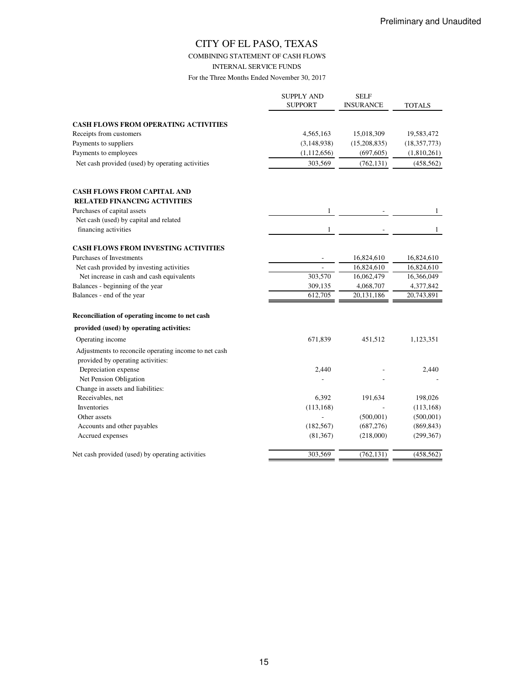COMBINING STATEMENT OF CASH FLOWS

INTERNAL SERVICE FUNDS

|                                                                                            | <b>SUPPLY AND</b><br><b>SUPPORT</b> | <b>SELF</b><br><b>INSURANCE</b> | <b>TOTALS</b>  |
|--------------------------------------------------------------------------------------------|-------------------------------------|---------------------------------|----------------|
| <b>CASH FLOWS FROM OPERATING ACTIVITIES</b>                                                |                                     |                                 |                |
| Receipts from customers                                                                    | 4,565,163                           | 15,018,309                      | 19,583,472     |
| Payments to suppliers                                                                      | (3, 148, 938)                       | (15,208,835)                    | (18, 357, 773) |
| Payments to employees                                                                      | (1, 112, 656)                       | (697, 605)                      | (1,810,261)    |
| Net cash provided (used) by operating activities                                           | 303,569                             | (762, 131)                      | (458, 562)     |
|                                                                                            |                                     |                                 |                |
| <b>CASH FLOWS FROM CAPITAL AND</b>                                                         |                                     |                                 |                |
| <b>RELATED FINANCING ACTIVITIES</b>                                                        |                                     |                                 |                |
| Purchases of capital assets                                                                |                                     |                                 |                |
| Net cash (used) by capital and related                                                     |                                     |                                 |                |
| financing activities                                                                       | 1                                   |                                 | 1              |
| <b>CASH FLOWS FROM INVESTING ACTIVITIES</b>                                                |                                     |                                 |                |
| Purchases of Investments                                                                   |                                     | 16,824,610                      | 16,824,610     |
| Net cash provided by investing activities                                                  |                                     | 16,824,610                      | 16,824,610     |
| Net increase in cash and cash equivalents                                                  | 303,570                             | 16,062,479                      | 16,366,049     |
| Balances - beginning of the year                                                           | 309,135                             | 4,068,707                       | 4,377,842      |
| Balances - end of the year                                                                 | 612,705                             | 20,131,186                      | 20,743,891     |
| Reconciliation of operating income to net cash                                             |                                     |                                 |                |
| provided (used) by operating activities:                                                   |                                     |                                 |                |
| Operating income                                                                           | 671,839                             | 451,512                         | 1,123,351      |
| Adjustments to reconcile operating income to net cash<br>provided by operating activities: |                                     |                                 |                |
| Depreciation expense                                                                       | 2,440                               |                                 | 2,440          |
| Net Pension Obligation                                                                     |                                     |                                 |                |
| Change in assets and liabilities:                                                          |                                     |                                 |                |
| Receivables, net                                                                           | 6,392                               | 191,634                         | 198,026        |
| Inventories                                                                                | (113, 168)                          |                                 | (113, 168)     |
| Other assets                                                                               |                                     | (500,001)                       | (500,001)      |
| Accounts and other payables                                                                | (182, 567)                          | (687, 276)                      | (869, 843)     |
| Accrued expenses                                                                           | (81, 367)                           | (218,000)                       | (299, 367)     |
| Net cash provided (used) by operating activities                                           | 303,569                             | (762, 131)                      | (458, 562)     |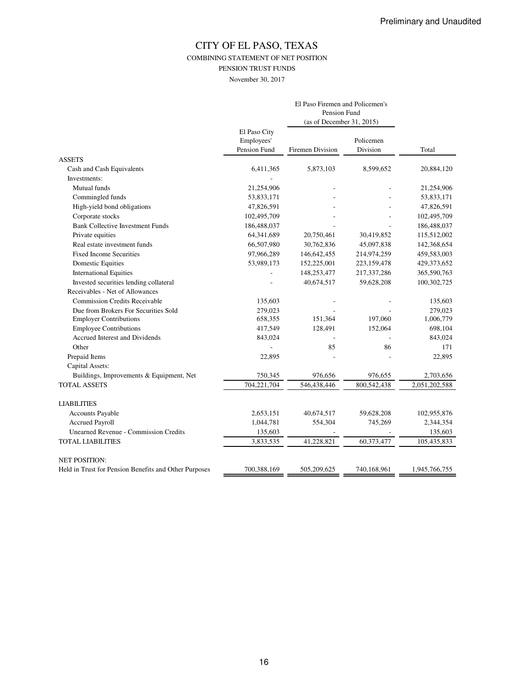COMBINING STATEMENT OF NET POSITION

PENSION TRUST FUNDS

November 30, 2017

|                                                       |                                            | El Paso Firemen and Policemen's<br>Pension Fund<br>(as of December 31, 2015) |                       |               |
|-------------------------------------------------------|--------------------------------------------|------------------------------------------------------------------------------|-----------------------|---------------|
|                                                       | El Paso City<br>Employees'<br>Pension Fund | <b>Firemen Division</b>                                                      | Policemen<br>Division | Total         |
| <b>ASSETS</b>                                         |                                            |                                                                              |                       |               |
| Cash and Cash Equivalents                             | 6,411,365                                  | 5,873,103                                                                    | 8,599,652             | 20,884,120    |
| Investments:                                          |                                            |                                                                              |                       |               |
| Mutual funds                                          | 21,254,906                                 |                                                                              |                       | 21,254,906    |
| Commingled funds                                      | 53,833,171                                 |                                                                              |                       | 53,833,171    |
| High-yield bond obligations                           | 47,826,591                                 |                                                                              |                       | 47,826,591    |
| Corporate stocks                                      | 102,495,709                                |                                                                              |                       | 102,495,709   |
| <b>Bank Collective Investment Funds</b>               | 186,488,037                                |                                                                              |                       | 186,488,037   |
| Private equities                                      | 64,341,689                                 | 20,750,461                                                                   | 30,419,852            | 115,512,002   |
| Real estate investment funds                          | 66,507,980                                 | 30,762,836                                                                   | 45,097,838            | 142,368,654   |
| <b>Fixed Income Securities</b>                        | 97,966,289                                 | 146,642,455                                                                  | 214,974,259           | 459,583,003   |
| <b>Domestic Equities</b>                              | 53,989,173                                 | 152,225,001                                                                  | 223,159,478           | 429,373,652   |
| <b>International Equities</b>                         |                                            | 148,253,477                                                                  | 217,337,286           | 365,590,763   |
| Invested securities lending collateral                |                                            | 40,674,517                                                                   | 59,628,208            | 100,302,725   |
| Receivables - Net of Allowances                       |                                            |                                                                              |                       |               |
| <b>Commission Credits Receivable</b>                  | 135,603                                    |                                                                              |                       | 135,603       |
| Due from Brokers For Securities Sold                  | 279,023                                    |                                                                              |                       | 279,023       |
| <b>Employer Contributions</b>                         | 658,355                                    | 151,364                                                                      | 197,060               | 1,006,779     |
| <b>Employee Contributions</b>                         | 417,549                                    | 128,491                                                                      | 152,064               | 698,104       |
| <b>Accrued Interest and Dividends</b>                 | 843,024                                    |                                                                              |                       | 843,024       |
| Other                                                 |                                            | 85                                                                           | 86                    | 171           |
| Prepaid Items                                         | 22,895                                     |                                                                              |                       | 22,895        |
| Capital Assets:                                       |                                            |                                                                              |                       |               |
| Buildings, Improvements & Equipment, Net              | 750,345                                    | 976,656                                                                      | 976,655               | 2,703,656     |
| <b>TOTAL ASSETS</b>                                   | 704,221,704                                | 546,438,446                                                                  | 800,542,438           | 2,051,202,588 |
| <b>LIABILITIES</b>                                    |                                            |                                                                              |                       |               |
| <b>Accounts Payable</b>                               | 2,653,151                                  | 40,674,517                                                                   | 59,628,208            | 102,955,876   |
| <b>Accrued Payroll</b>                                | 1,044,781                                  | 554,304                                                                      | 745,269               | 2,344,354     |
| <b>Unearned Revenue - Commission Credits</b>          | 135,603                                    |                                                                              |                       | 135,603       |
| <b>TOTAL LIABILITIES</b>                              | 3,833,535                                  | 41,228,821                                                                   | 60,373,477            | 105,435,833   |
| <b>NET POSITION:</b>                                  |                                            |                                                                              |                       |               |
| Held in Trust for Pension Benefits and Other Purposes | 700,388,169                                | 505,209,625                                                                  | 740,168,961           | 1,945,766,755 |